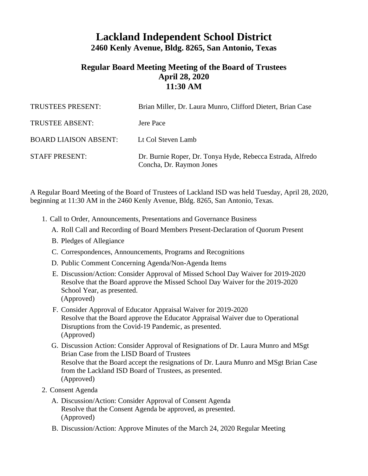## **Lackland Independent School District 2460 Kenly Avenue, Bldg. 8265, San Antonio, Texas**

## **Regular Board Meeting Meeting of the Board of Trustees April 28, 2020 11:30 AM**

| TRUSTEES PRESENT:            | Brian Miller, Dr. Laura Munro, Clifford Dietert, Brian Case                            |
|------------------------------|----------------------------------------------------------------------------------------|
| <b>TRUSTEE ABSENT:</b>       | Jere Pace                                                                              |
| <b>BOARD LIAISON ABSENT:</b> | Lt Col Steven Lamb                                                                     |
| <b>STAFF PRESENT:</b>        | Dr. Burnie Roper, Dr. Tonya Hyde, Rebecca Estrada, Alfredo<br>Concha, Dr. Raymon Jones |

A Regular Board Meeting of the Board of Trustees of Lackland ISD was held Tuesday, April 28, 2020, beginning at 11:30 AM in the 2460 Kenly Avenue, Bldg. 8265, San Antonio, Texas.

- 1. Call to Order, Announcements, Presentations and Governance Business
	- A. Roll Call and Recording of Board Members Present-Declaration of Quorum Present
	- B. Pledges of Allegiance
	- C. Correspondences, Announcements, Programs and Recognitions
	- D. Public Comment Concerning Agenda/Non-Agenda Items
	- E. Discussion/Action: Consider Approval of Missed School Day Waiver for 2019-2020 Resolve that the Board approve the Missed School Day Waiver for the 2019-2020 School Year, as presented. (Approved)
	- F. Consider Approval of Educator Appraisal Waiver for 2019-2020 Resolve that the Board approve the Educator Appraisal Waiver due to Operational Disruptions from the Covid-19 Pandemic, as presented. (Approved)
	- G. Discussion Action: Consider Approval of Resignations of Dr. Laura Munro and MSgt Brian Case from the LISD Board of Trustees Resolve that the Board accept the resignations of Dr. Laura Munro and MSgt Brian Case from the Lackland ISD Board of Trustees, as presented. (Approved)
- 2. Consent Agenda
	- A. Discussion/Action: Consider Approval of Consent Agenda Resolve that the Consent Agenda be approved, as presented. (Approved)
	- B. Discussion/Action: Approve Minutes of the March 24, 2020 Regular Meeting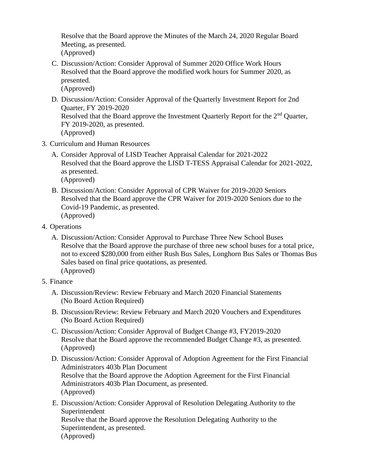Resolve that the Board approve the Minutes of the March 24, 2020 Regular Board Meeting, as presented. (Approved)

- C. Discussion/Action: Consider Approval of Summer 2020 Office Work Hours Resolved that the Board approve the modified work hours for Summer 2020, as presented. (Approved)
- D. Discussion/Action: Consider Approval of the Quarterly Investment Report for 2nd Quarter, FY 2019-2020 Resolved that the Board approve the Investment Quarterly Report for the 2<sup>nd</sup> Quarter, FY 2019-2020, as presented. (Approved)
- 3. Curriculum and Human Resources
	- A. Consider Approval of LISD Teacher Appraisal Calendar for 2021-2022 Resolved that the Board approve the LISD T-TESS Appraisal Calendar for 2021-2022, as presented.

(Approved)

- B. Discussion/Action: Consider Approval of CPR Waiver for 2019-2020 Seniors Resolved that the Board approve the CPR Waiver for 2019-2020 Seniors due to the Covid-19 Pandemic, as presented. (Approved)
- 4. Operations
	- A. Discussion/Action: Consider Approval to Purchase Three New School Buses Resolve that the Board approve the purchase of three new school buses for a total price, not to exceed \$280,000 from either Rush Bus Sales, Longhorn Bus Sales or Thomas Bus Sales based on final price quotations, as presented. (Approved)
- 5. Finance
	- A. Discussion/Review: Review February and March 2020 Financial Statements (No Board Action Required)
	- B. Discussion/Review: Review February and March 2020 Vouchers and Expenditures (No Board Action Required)
	- C. Discussion/Action: Consider Approval of Budget Change #3, FY2019-2020 Resolve that the Board approve the recommended Budget Change #3, as presented. (Approved)
	- D. Discussion/Action: Consider Approval of Adoption Agreement for the First Financial Administrators 403b Plan Document Resolve that the Board approve the Adoption Agreement for the First Financial Administrators 403b Plan Document, as presented. (Approved)
	- E. Discussion/Action: Consider Approval of Resolution Delegating Authority to the Superintendent Resolve that the Board approve the Resolution Delegating Authority to the Superintendent, as presented. (Approved)